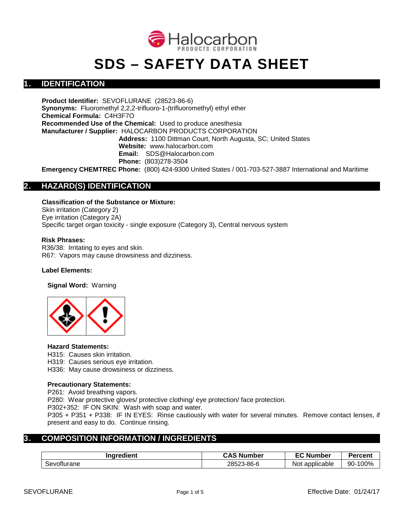

# **SDS – SAFETY DATA SHEET**

# **1. IDENTIFICATION**

**Product Identifier:** SEVOFLURANE (28523-86-6) **Synonyms:** Fluoromethyl 2,2,2-trifluoro-1-(trifluoromethyl) ethyl ether **Chemical Formula:** C4H3F7O **Recommended Use of the Chemical:** Used to produce anesthesia **Manufacturer / Supplier:** HALOCARBON PRODUCTS CORPORATION **Address:** 1100 Dittman Court, North Augusta, SC; United States **Website:** www.halocarbon.com **Email:** SDS@Halocarbon.com **Phone:** (803)278-3504 **Emergency CHEMTREC Phone:** (800) 424-9300 United States / 001-703-527-3887 International and Maritime

# **2. HAZARD(S) IDENTIFICATION**

**Classification of the Substance or Mixture:**

Skin irritation (Category 2) Eye irritation (Category 2A) Specific target organ toxicity - single exposure (Category 3), Central nervous system

#### **Risk Phrases:**

R36/38: Irritating to eyes and skin. R67: Vapors may cause drowsiness and dizziness.

#### **Label Elements:**

**Signal Word:** Warning



#### **Hazard Statements:**

H315: Causes skin irritation. H319: Causes serious eye irritation. H336: May cause drowsiness or dizziness.

#### **Precautionary Statements:**

P261: Avoid breathing vapors.

P280: Wear protective gloves/ protective clothing/ eye protection/ face protection.

P302+352: IF ON SKIN: Wash with soap and water.

P305 + P351 + P338: IF IN EYES: Rinse cautiously with water for several minutes. Remove contact lenses, if present and easy to do. Continue rinsing.

# **3. COMPOSITION INFORMATION / INGREDIENTS**

| <b>Ingredient</b> | <b>CAS Number</b> | <b>EC Number</b>    | Percent |
|-------------------|-------------------|---------------------|---------|
| Sevotlurane       | 28523-86-6        | : applicable<br>Not | 90-100% |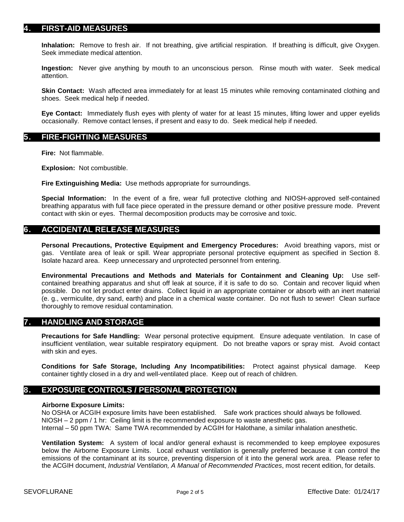# **4. FIRST-AID MEASURES**

**Inhalation:** Remove to fresh air. If not breathing, give artificial respiration. If breathing is difficult, give Oxygen. Seek immediate medical attention.

**Ingestion:** Never give anything by mouth to an unconscious person. Rinse mouth with water. Seek medical attention.

**Skin Contact:** Wash affected area immediately for at least 15 minutes while removing contaminated clothing and shoes. Seek medical help if needed.

**Eye Contact:** Immediately flush eyes with plenty of water for at least 15 minutes, lifting lower and upper eyelids occasionally. Remove contact lenses, if present and easy to do. Seek medical help if needed.

## **5. FIRE-FIGHTING MEASURES**

**Fire:** Not flammable.

**Explosion:** Not combustible.

**Fire Extinguishing Media:** Use methods appropriate for surroundings.

**Special Information:** In the event of a fire, wear full protective clothing and NIOSH-approved self-contained breathing apparatus with full face piece operated in the pressure demand or other positive pressure mode. Prevent contact with skin or eyes. Thermal decomposition products may be corrosive and toxic.

# **6. ACCIDENTAL RELEASE MEASURES**

**Personal Precautions, Protective Equipment and Emergency Procedures:** Avoid breathing vapors, mist or gas. Ventilate area of leak or spill. Wear appropriate personal protective equipment as specified in Section 8. Isolate hazard area. Keep unnecessary and unprotected personnel from entering.

**Environmental Precautions and Methods and Materials for Containment and Cleaning Up:** Use selfcontained breathing apparatus and shut off leak at source, if it is safe to do so. Contain and recover liquid when possible. Do not let product enter drains. Collect liquid in an appropriate container or absorb with an inert material (e. g., vermiculite, dry sand, earth) and place in a chemical waste container. Do not flush to sewer! Clean surface thoroughly to remove residual contamination.

# **7. HANDLING AND STORAGE**

**Precautions for Safe Handling:** Wear personal protective equipment. Ensure adequate ventilation. In case of insufficient ventilation, wear suitable respiratory equipment. Do not breathe vapors or spray mist. Avoid contact with skin and eyes.

**Conditions for Safe Storage, Including Any Incompatibilities:** Protect against physical damage. Keep container tightly closed in a dry and well-ventilated place. Keep out of reach of children.

## **8. EXPOSURE CONTROLS / PERSONAL PROTECTION**

#### **Airborne Exposure Limits:**

No OSHA or ACGIH exposure limits have been established. Safe work practices should always be followed. NIOSH – 2 ppm / 1 hr: Ceiling limit is the recommended exposure to waste anesthetic gas. Internal – 50 ppm TWA: Same TWA recommended by ACGIH for Halothane, a similar inhalation anesthetic.

**Ventilation System:** A system of local and/or general exhaust is recommended to keep employee exposures below the Airborne Exposure Limits. Local exhaust ventilation is generally preferred because it can control the emissions of the contaminant at its source, preventing dispersion of it into the general work area. Please refer to the ACGIH document, *Industrial Ventilation, A Manual of Recommended Practices*, most recent edition, for details.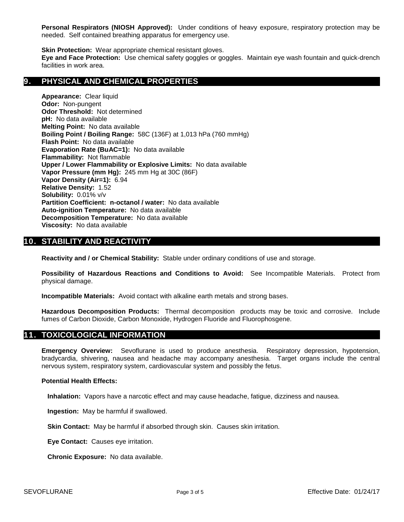**Personal Respirators (NIOSH Approved):** Under conditions of heavy exposure, respiratory protection may be needed. Self contained breathing apparatus for emergency use.

**Skin Protection:** Wear appropriate chemical resistant gloves.

**Eye and Face Protection:** Use chemical safety goggles or goggles. Maintain eye wash fountain and quick-drench facilities in work area.

# **9. PHYSICAL AND CHEMICAL PROPERTIES**

**Appearance:** Clear liquid **Odor:** Non-pungent **Odor Threshold:** Not determined **pH:** No data available **Melting Point:** No data available **Boiling Point / Boiling Range:** 58C (136F) at 1,013 hPa (760 mmHg) **Flash Point:** No data available **Evaporation Rate (BuAC=1):** No data available **Flammability:** Not flammable **Upper / Lower Flammability or Explosive Limits:** No data available **Vapor Pressure (mm Hg):** 245 mm Hg at 30C (86F) **Vapor Density (Air=1):** 6.94 **Relative Density:** 1.52 **Solubility:** 0.01% v/v **Partition Coefficient: n-octanol / water:** No data available **Auto-ignition Temperature:** No data available **Decomposition Temperature:** No data available **Viscosity:** No data available

## **10. STABILITY AND REACTIVITY**

**Reactivity and / or Chemical Stability:** Stable under ordinary conditions of use and storage.

**Possibility of Hazardous Reactions and Conditions to Avoid:** See Incompatible Materials. Protect from physical damage.

**Incompatible Materials:** Avoid contact with alkaline earth metals and strong bases.

**Hazardous Decomposition Products:** Thermal decomposition products may be toxic and corrosive. Include fumes of Carbon Dioxide, Carbon Monoxide, Hydrogen Fluoride and Fluorophosgene.

## **11. TOXICOLOGICAL INFORMATION**

**Emergency Overview:** Sevoflurane is used to produce anesthesia. Respiratory depression, hypotension, bradycardia, shivering, nausea and headache may accompany anesthesia. Target organs include the central nervous system, respiratory system, cardiovascular system and possibly the fetus.

#### **Potential Health Effects:**

**Inhalation:** Vapors have a narcotic effect and may cause headache, fatigue, dizziness and nausea.

**Ingestion:** May be harmful if swallowed.

**Skin Contact:** May be harmful if absorbed through skin. Causes skin irritation.

**Eye Contact:** Causes eye irritation.

**Chronic Exposure:** No data available.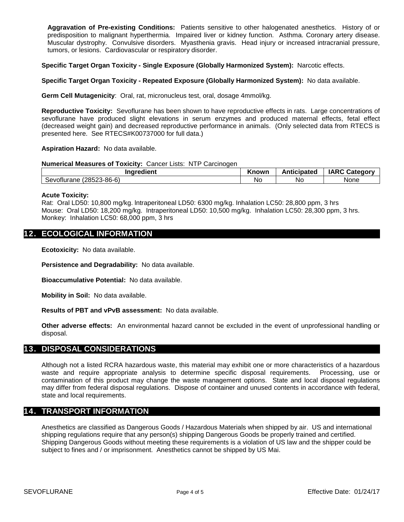**Aggravation of Pre-existing Conditions:** Patients sensitive to other halogenated anesthetics. History of or predisposition to malignant hyperthermia. Impaired liver or kidney function. Asthma. Coronary artery disease. Muscular dystrophy. Convulsive disorders. Myasthenia gravis. Head injury or increased intracranial pressure, tumors, or lesions. Cardiovascular or respiratory disorder.

**Specific Target Organ Toxicity - Single Exposure (Globally Harmonized System):** Narcotic effects.

**Specific Target Organ Toxicity - Repeated Exposure (Globally Harmonized System):** No data available.

**Germ Cell Mutagenicity**: Oral, rat, micronucleus test, oral, dosage 4mmol/kg.

**Reproductive Toxicity:** Sevoflurane has been shown to have reproductive effects in rats. Large concentrations of sevoflurane have produced slight elevations in serum enzymes and produced maternal effects, fetal effect (decreased weight gain) and decreased reproductive performance in animals. (Only selected data from RTECS is presented here. See RTECS#K00737000 for full data.)

**Aspiration Hazard:** No data available.

#### **Numerical Measures of Toxicity:** Cancer Lists: NTP Carcinogen

| Ingredient                    | Known | Anticipated | <b>IARC Category</b> |
|-------------------------------|-------|-------------|----------------------|
| (28523-86-6)<br>Sevotlurane ' | Νo    | Nc          | None                 |

#### **Acute Toxicity:**

Rat: Oral LD50: 10,800 mg/kg. lntraperitoneal LD50: 6300 mg/kg. Inhalation LC50: 28,800 ppm, 3 hrs Mouse: Oral LD50: 18,200 mg/kg. Intraperitoneal LD50: 10,500 mg/kg. Inhalation LC50: 28,300 ppm, 3 hrs. Monkey: Inhalation LC50: 68,000 ppm, 3 hrs

## **12. ECOLOGICAL INFORMATION**

**Ecotoxicity:** No data available.

**Persistence and Degradability:** No data available.

**Bioaccumulative Potential:** No data available.

**Mobility in Soil:** No data available.

**Results of PBT and vPvB assessment:** No data available.

**Other adverse effects:** An environmental hazard cannot be excluded in the event of unprofessional handling or disposal.

## **13. DISPOSAL CONSIDERATIONS**

Although not a listed RCRA hazardous waste, this material may exhibit one or more characteristics of a hazardous waste and require appropriate analysis to determine specific disposal requirements. Processing, use or contamination of this product may change the waste management options. State and local disposal regulations may differ from federal disposal regulations. Dispose of container and unused contents in accordance with federal, state and local requirements.

# **14. TRANSPORT INFORMATION**

Anesthetics are classified as Dangerous Goods / Hazardous Materials when shipped by air. US and international shipping regulations require that any person(s) shipping Dangerous Goods be properly trained and certified. Shipping Dangerous Goods without meeting these requirements is a violation of US law and the shipper could be subject to fines and / or imprisonment. Anesthetics cannot be shipped by US Mai.